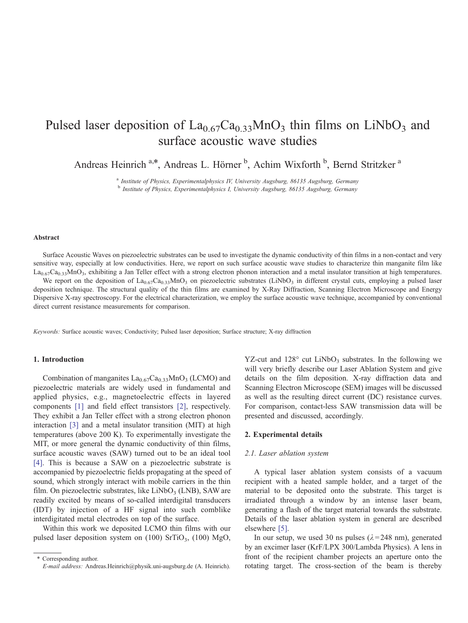# Pulsed laser deposition of  $La_{0.67}Ca_{0.33}MnO_3$  thin films on LiNbO<sub>3</sub> and surface acoustic wave studies

Andreas Heinrich<sup>a,\*</sup>, Andreas L. Hörner<sup>b</sup>, Achim Wixforth<sup>b</sup>, Bernd Stritzker<sup>a</sup>

<sup>a</sup> Institute of Physics, Experimentalphysics IV, University Augsburg, 86135 Augsburg, Germany <sup>b</sup> Institute of Physics, Experimentalphysics I, University Augsburg, 86135 Augsburg, Germany

# Abstract

Surface Acoustic Waves on piezoelectric substrates can be used to investigate the dynamic conductivity of thin films in a non-contact and very sensitive way, especially at low conductivities. Here, we report on such surface acoustic wave studies to characterize thin manganite film like  $La_{0.67}Ca_{0.33}MnO_3$ , exhibiting a Jan Teller effect with a strong electron phonon interaction and a metal insulator transition at high temperatures.

We report on the deposition of  $La_{0.67}Ca_{0.33}MnO_3$  on piezoelectric substrates (LiNbO<sub>3</sub> in different crystal cuts, employing a pulsed laser deposition technique. The structural quality of the thin films are examined by X-Ray Diffraction, Scanning Electron Microscope and Energy Dispersive X-ray spectroscopy. For the electrical characterization, we employ the surface acoustic wave technique, accompanied by conventional direct current resistance measurements for comparison.

Keywords: Surface acoustic waves; Conductivity; Pulsed laser deposition; Surface structure; X-ray diffraction

# 1. Introduction

Combination of manganites  $La_{0.67}Ca_{0.33}MnO_3$  (LCMO) and piezoelectric materials are widely used in fundamental and applied physics, e.g., magnetoelectric effects in layered components [\[1\]](#page-4-0) and field effect transistors [\[2\],](#page-4-0) respectively. They exhibit a Jan Teller effect with a strong electron phonon interaction [\[3\]](#page-4-0) and a metal insulator transition (MIT) at high temperatures (above 200 K). To experimentally investigate the MIT, or more general the dynamic conductivity of thin films, surface acoustic waves (SAW) turned out to be an ideal tool [\[4\].](#page-4-0) This is because a SAW on a piezoelectric substrate is accompanied by piezoelectric fields propagating at the speed of sound, which strongly interact with mobile carriers in the thin film. On piezoelectric substrates, like  $LiNbO<sub>3</sub>$  (LNB), SAW are readily excited by means of so-called interdigital transducers (IDT) by injection of a HF signal into such comblike interdigitated metal electrodes on top of the surface.

Within this work we deposited LCMO thin films with our pulsed laser deposition system on  $(100)$  SrTiO<sub>3</sub>,  $(100)$  MgO,

\* Corresponding author. E-mail address: Andreas.Heinrich@physik.uni-augsburg.de (A. Heinrich). YZ-cut and  $128^\circ$  cut LiNbO<sub>3</sub> substrates. In the following we will very briefly describe our Laser Ablation System and give details on the film deposition. X-ray diffraction data and Scanning Electron Microscope (SEM) images will be discussed as well as the resulting direct current (DC) resistance curves. For comparison, contact-less SAW transmission data will be presented and discussed, accordingly.

# 2. Experimental details

#### 2.1. Laser ablation system

A typical laser ablation system consists of a vacuum recipient with a heated sample holder, and a target of the material to be deposited onto the substrate. This target is irradiated through a window by an intense laser beam, generating a flash of the target material towards the substrate. Details of the laser ablation system in general are described elsewhere [\[5](#page-4-0)].

In our setup, we used 30 ns pulses ( $\lambda$ =248 nm), generated by an excimer laser (KrF/LPX 300/Lambda Physics). A lens in front of the recipient chamber projects an aperture onto the rotating target. The cross-section of the beam is thereby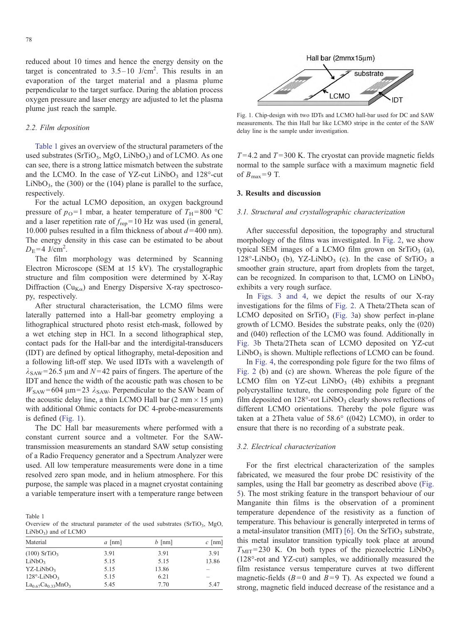reduced about 10 times and hence the energy density on the target is concentrated to  $3.5-10$  J/cm<sup>2</sup>. This results in an evaporation of the target material and a plasma plume perpendicular to the target surface. During the ablation process oxygen pressure and laser energy are adjusted to let the plasma plume just reach the sample.

# 2.2. Film deposition

Table 1 gives an overview of the structural parameters of the used substrates ( $SrTiO_3$ , MgO, LiNbO<sub>3</sub>) and of LCMO. As one can see, there is a strong lattice mismatch between the substrate and the LCMO. In the case of YZ-cut LiNbO<sub>3</sub> and  $128^\circ$ -cut LiNbO<sub>3</sub>, the (300) or the (104) plane is parallel to the surface, respectively.

For the actual LCMO deposition, an oxygen background pressure of  $p_{\text{O}}=1$  mbar, a heater temperature of  $T_{\text{H}}=800$  °C and a laser repetition rate of  $f_{\text{ren}}=10$  Hz was used (in general, 10.000 pulses resulted in a film thickness of about  $d = 400$  nm). The energy density in this case can be estimated to be about  $D_{\rm E}$ =4 J/cm<sup>2</sup>.

The film morphology was determined by Scanning Electron Microscope (SEM at 15 kV). The crystallographic structure and film composition were determined by X-Ray Diffraction ( $Cu_{K\alpha}$ ) and Energy Dispersive X-ray spectroscopy, respectively.

After structural characterisation, the LCMO films were laterally patterned into a Hall-bar geometry employing a lithographical structured photo resist etch-mask, followed by a wet etching step in HCl. In a second lithographical step, contact pads for the Hall-bar and the interdigital-transducers (IDT) are defined by optical lithography, metal-deposition and a following lift-off step. We used IDTs with a wavelength of  $\lambda_{SAW}$  = 26.5 µm and N = 42 pairs of fingers. The aperture of the IDT and hence the width of the acoustic path was chosen to be  $W_{\text{SAW}}$ =604 µm=23  $\lambda_{\text{SAW}}$ . Perpendicular to the SAW beam of the acoustic delay line, a thin LCMO Hall bar  $(2 \text{ mm} \times 15 \text{ }\mu\text{m})$ with additional Ohmic contacts for DC 4-probe-measurements is defined (Fig. 1).

The DC Hall bar measurements where performed with a constant current source and a voltmeter. For the SAWtransmission measurements an standard SAW setup consisting of a Radio Frequency generator and a Spectrum Analyzer were used. All low temperature measurements were done in a time resolved zero span mode, and in helium atmosphere. For this purpose, the sample was placed in a magnet cryostat containing a variable temperature insert with a temperature range between

Table 1

Overview of the structural parameter of the used substrates (SrTiO<sub>3</sub>, MgO,  $LiNbO<sub>3</sub>$ ) and of LCMO

| Material                        | $a$ [nm] | $b$ [nm] | $c$ [nm]                 |
|---------------------------------|----------|----------|--------------------------|
| $(100)$ SrTiO <sub>3</sub>      | 3.91     | 3.91     | 3.91                     |
| LiNbO <sub>3</sub>              | 5.15     | 5.15     | 13.86                    |
| $YZ-LiNbO3$                     | 5.15     | 13.86    | -                        |
| $128^\circ$ -LiNbO <sub>3</sub> | 5.15     | 6.21     | $\overline{\phantom{a}}$ |
| $La_{0.67}Ca_{0.33}MnO_3$       | 5.45     | 7.70     | 5.47                     |



Fig. 1. Chip-design with two IDTs and LCMO hall-bar used for DC and SAW measurements. The thin Hall bar like LCMO stripe in the center of the SAW delay line is the sample under investigation.

 $T = 4.2$  and  $T = 300$  K. The cryostat can provide magnetic fields normal to the sample surface with a maximum magnetic field of  $B_{\text{max}}=9$  T.

#### 3. Results and discussion

# 3.1. Structural and crystallographic characterization

After successful deposition, the topography and structural morphology of the films was investigated. In Fig. 2, [we](#page-2-0) show typical SEM images of a LCMO film grown on  $SrTiO<sub>3</sub>$  (a),  $128^\circ$ -LiNbO<sub>3</sub> (b), YZ-LiNbO<sub>3</sub> (c). In the case of SrTiO<sub>3</sub> a smoother grain structure, apart from droplets from the target, can be recognized. In comparison to that, LCMO on  $LiNbO<sub>3</sub>$ exhibits a very rough surface.

In [Figs.](#page-2-0) 3 and 4, we depict the results of our X-ray investigations for the films of F[ig.](#page-2-0) 2. A Theta/2Theta scan of LCMO deposited on  $SrTiO<sub>3</sub>$  ([Fig.](#page-2-0) 3a) show perfect in-plane growth of LCMO. Besides the substrate peaks, only the (020) and (040) reflection of the LCMO was found. Additionally in [Fig.](#page-2-0) 3b Theta/2Theta scan of LCMO deposited on YZ-cut  $LiNbO<sub>3</sub>$  is shown. Multiple reflections of LCMO can be found.

In [Fig.](#page-2-0) 4, the corresponding pole figure for the two films of [Fig.](#page-2-0) 2 (b) and (c) are shown. Whereas the pole figure of the LCMO film on YZ-cut LiNbO<sub>3</sub> (4b) exhibits a pregnant polycrystalline texture, the corresponding pole figure of the film deposited on 128°-rot LiNbO<sub>3</sub> clearly shows reflections of different LCMO orientations. Thereby the pole figure was taken at a 2Theta value of  $58.6^{\circ}$  ((042) LCMO), in order to ensure that there is no recording of a substrate peak.

# 3.2. Electrical characterization

For the first electrical characterization of the samples fabricated, we measured the four probe DC resistivity of the samples, using the Hall bar geometry as described above [\(Fig.](#page-3-0) 5). The most striking feature in the transport behaviour of our Manganite thin films is the observation of a prominent temperature dependence of the resistivity as a function of temperature. This behaviour is generally interpreted in terms of a metal-insulator transition (MIT) [\[6\].](#page-4-0) On the  $SrTiO<sub>3</sub>$  substrate, this metal insulator transition typically took place at around  $T<sub>MIT</sub>=230$  K. On both types of the piezoelectric LiNbO<sub>3</sub> (128°-rot and YZ-cut) samples, we additionally measured the film resistance versus temperature curves at two different magnetic-fields ( $B=0$  and  $B=9$  T). As expected we found a strong, magnetic field induced decrease of the resistance and a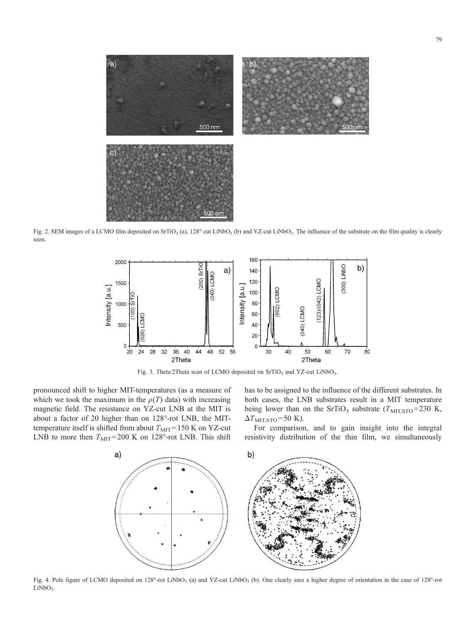<span id="page-2-0"></span>

Fig. 2. SEM images of a LCMO film deposited on SrTiO<sub>3</sub> (a), 128° cut LiNbO<sub>3</sub> (b) and YZ-cut LiNbO<sub>3</sub>. The influence of the substrate on the film quality is clearly seen.



Fig. 3. Theta/2Theta scan of LCMO deposited on  $SrTiO<sub>3</sub>$  and YZ-cut LiNbO<sub>3</sub>.

pronounced shift to higher MIT-temperatures (as a measure of which we took the maximum in the  $\rho(T)$  data) with increasing magnetic field. The resistance on YZ-cut LNB at the MIT is about a factor of 20 higher than on 128°-rot LNB, the MITtemperature itself is shifted from about  $T<sub>MIT</sub>=150$  K on YZ-cut LNB to more then  $T<sub>MIT</sub> = 200$  K on 128°-rot LNB. This shift has to be assigned to the influence of the different substrates. In both cases, the LNB substrates result in a MIT temperature being lower than on the SrTiO<sub>3</sub> substrate ( $T_{\text{MIT,STO}}$ =230 K,  $\Delta T$ <sub>MIT,STO</sub> = 50 K).

For comparison, and to gain insight into the integral resistivity distribution of the thin film, we simultaneously



Fig. 4. Pole figure of LCMO deposited on 128°-rot LiNbO<sub>3</sub> (a) and YZ-cut LiNbO<sub>3</sub> (b). One clearly sees a higher degree of orientation in the case of 128°-rot  $LiNbO<sub>3</sub>$ .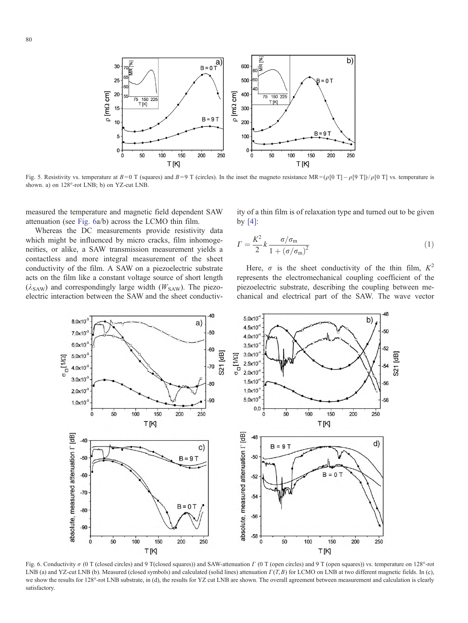<span id="page-3-0"></span>

Fig. 5. Resistivity vs. temperature at  $B=0$  T (squares) and  $B=9$  T (circles). In the inset the magneto resistance MR=( $\rho$ [0 T] $-\rho$ [9 T])/ $\rho$ [0 T] vs. temperature is shown. a) on  $128^{\circ}$ -rot LNB; b) on YZ-cut LNB.

measured the temperature and magnetic field dependent SAW attenuation (see Fig. 6a/b) across the LCMO thin film.

Whereas the DC measurements provide resistivity data which might be influenced by micro cracks, film inhomogeneities, or alike, a SAW transmission measurement yields a contactless and more integral measurement of the sheet conductivity of the film. A SAW on a piezoelectric substrate acts on the film like a constant voltage source of short length  $(\lambda_{SAW})$  and correspondingly large width ( $W_{SAW}$ ). The piezoelectric interaction between the SAW and the sheet conductivity of a thin film is of relaxation type and turned out to be given by [\[4\]:](#page-4-0)

$$
\Gamma = \frac{K^2}{2} k \frac{\sigma/\sigma_{\rm m}}{1 + \left(\sigma/\sigma_{\rm m}\right)^2} \tag{1}
$$

Here,  $\sigma$  is the sheet conductivity of the thin film,  $K^2$ represents the electromechanical coupling coefficient of the piezoelectric substrate, describing the coupling between mechanical and electrical part of the SAW. The wave vector



Fig. 6. Conductivity  $\sigma$  (0 T (closed circles) and 9 T(closed squares)) and SAW-attenuation  $\Gamma$  (0 T (open circles) and 9 T (open squares)) vs. temperature on 128°-rot LNB (a) and YZ-cut LNB (b). Measured (closed symbols) and calculated (solid lines) attenuation  $\Gamma(T, B)$  for LCMO on LNB at two different magnetic fields. In (c), we show the results for 128°-rot LNB substrate, in (d), the results for YZ cut LNB are shown. The overall agreement between measurement and calculation is clearly satisfactory.